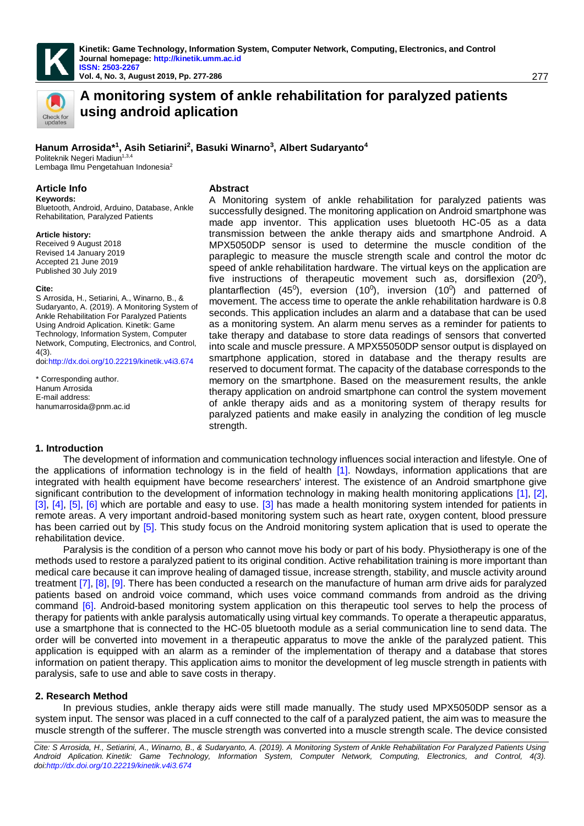

**Vol. 4, No. 3, August 2019, Pp. 277-288 Vol. 4, 3, August 277-286** 277



# **A monitoring system of ankle rehabilitation for paralyzed patients using android aplication**

# **Hanum Arrosida\*<sup>1</sup> , Asih Setiarini<sup>2</sup> , Basuki Winarno<sup>3</sup> , Albert Sudaryanto<sup>4</sup>**

Politeknik Negeri Madiun<sup>1,3,4</sup> Lembaga Ilmu Pengetahuan Indonesia<sup>2</sup>

#### **Article Info Abstract**

**Keywords:**  Bluetooth, Android, Arduino, Database, Ankle Rehabilitation, Paralyzed Patients

#### **Article history:**

Received 9 August 2018 Revised 14 January 2019 Accepted 21 June 2019 Published 30 July 2019

#### **Cite:**

S Arrosida, H., Setiarini, A., Winarno, B., & Sudaryanto, A. (2019). A Monitoring System of Ankle Rehabilitation For Paralyzed Patients Using Android Aplication. Kinetik: Game Technology, Information System, Computer Network, Computing, Electronics, and Control, 4(3). do[i:http://dx.doi.org/10.22219/kinetik.v4i3.674](http://dx.doi.org/10.22219/kinetik.v4i3.674)

```
* Corresponding author.
Hanum Arrosida
E-mail address: 
hanumarrosida@pnm.ac.id
```
A Monitoring system of ankle rehabilitation for paralyzed patients was successfully designed. The monitoring application on Android smartphone was made app inventor. This application uses bluetooth HC-05 as a data transmission between the ankle therapy aids and smartphone Android. A MPX5050DP sensor is used to determine the muscle condition of the paraplegic to measure the muscle strength scale and control the motor dc speed of ankle rehabilitation hardware. The virtual keys on the application are five instructions of therapeutic movement such as, dorsiflexion  $(20^0)$ , plantarflection (45<sup>0</sup>), eversion (10<sup>0</sup>), inversion (10<sup>0</sup>) and patterned of movement. The access time to operate the ankle rehabilitation hardware is 0.8 seconds. This application includes an alarm and a database that can be used as a monitoring system. An alarm menu serves as a reminder for patients to take therapy and database to store data readings of sensors that converted into scale and muscle pressure. A MPX55050DP sensor output is displayed on smartphone application, stored in database and the therapy results are reserved to document format. The capacity of the database corresponds to the memory on the smartphone. Based on the measurement results, the ankle therapy application on android smartphone can control the system movement of ankle therapy aids and as a monitoring system of therapy results for paralyzed patients and make easily in analyzing the condition of leg muscle strength.

#### **1. Introduction**

The development of information and communication technology influences social interaction and lifestyle. One of the applications of information technology is in the field of health [\[1\].](#page-9-0) Nowdays, information applications that are integrated with health equipment have become researchers' interest. The existence of an Android smartphone give significant contribution to the development of information technology in making health monitoring applications [\[1\],](#page-9-0) [\[2\],](#page-9-1) [\[3\],](#page-9-2) [\[4\],](#page-9-3) [\[5\],](#page-9-4) [\[6\]](#page-9-5) which are portable and easy to use. [\[3\]](#page-9-2) has made a health monitoring system intended for patients in remote areas. A very important android-based monitoring system such as heart rate, oxygen content, blood pressure has been carried out by [\[5\].](#page-9-4) This study focus on the Android monitoring system aplication that is used to operate the rehabilitation device.

Paralysis is the condition of a person who cannot move his body or part of his body. Physiotherapy is one of the methods used to restore a paralyzed patient to its original condition. Active rehabilitation training is more important than medical care because it can improve healing of damaged tissue, increase strength, stability, and muscle activity around treatment [\[7\],](#page-9-6) [\[8\],](#page-9-7) [\[9\].](#page-9-8) There has been conducted a research on the manufacture of human arm drive aids for paralyzed patients based on android voice command, which uses voice command commands from android as the driving command [\[6\].](#page-9-5) Android-based monitoring system application on this therapeutic tool serves to help the process of therapy for patients with ankle paralysis automatically using virtual key commands. To operate a therapeutic apparatus, use a smartphone that is connected to the HC-05 bluetooth module as a serial communication line to send data. The order will be converted into movement in a therapeutic apparatus to move the ankle of the paralyzed patient. This application is equipped with an alarm as a reminder of the implementation of therapy and a database that stores information on patient therapy. This application aims to monitor the development of leg muscle strength in patients with paralysis, safe to use and able to save costs in therapy.

#### **2. Research Method**

In previous studies, ankle therapy aids were still made manually. The study used MPX5050DP sensor as a system input. The sensor was placed in a cuff connected to the calf of a paralyzed patient, the aim was to measure the muscle strength of the sufferer. The muscle strength was converted into a muscle strength scale. The device consisted

*Cite: S Arrosida, H., Setiarini, A., Winarno, B., & Sudaryanto, A. (2019). A Monitoring System of Ankle Rehabilitation For Paralyzed Patients Using Android Aplication. Kinetik: Game Technology, Information System, Computer Network, Computing, Electronics, and Control, 4(3). do[i:http://dx.doi.org/10.22219/kinetik.v4i3.674](http://dx.doi.org/10.22219/kinetik.v4i3.674)*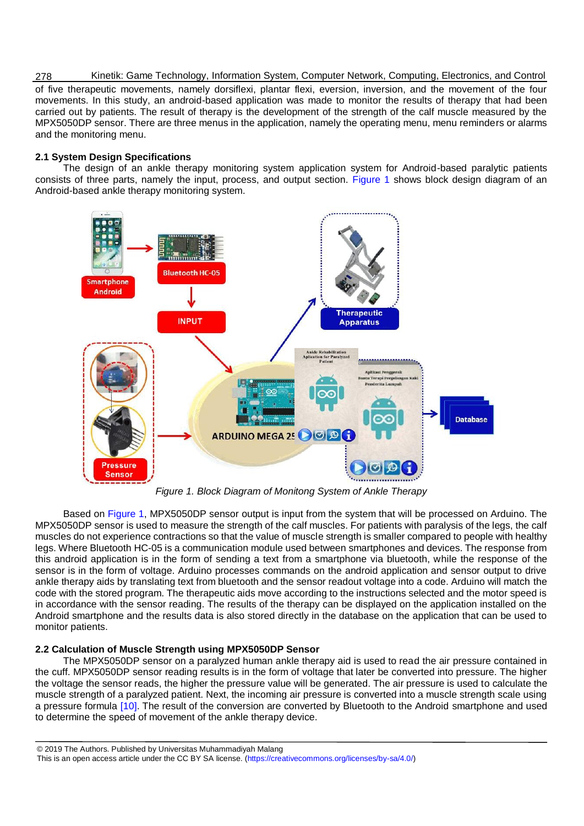Kinetik: Game Technology, Information System, Computer Network, Computing, Electronics, and Control 278 of five therapeutic movements, namely dorsiflexi, plantar flexi, eversion, inversion, and the movement of the four movements. In this study, an android-based application was made to monitor the results of therapy that had been carried out by patients. The result of therapy is the development of the strength of the calf muscle measured by the MPX5050DP sensor. There are three menus in the application, namely the operating menu, menu reminders or alarms and the monitoring menu.

# **2.1 System Design Specifications**

The design of an ankle therapy monitoring system application system for Android-based paralytic patients consists of three parts, namely the input, process, and output section. [Figure 1](#page-1-0) shows block design diagram of an Android-based ankle therapy monitoring system.



*Figure 1. Block Diagram of Monitong System of Ankle Therapy*

<span id="page-1-0"></span>Based on [Figure 1,](#page-1-0) MPX5050DP sensor output is input from the system that will be processed on Arduino. The MPX5050DP sensor is used to measure the strength of the calf muscles. For patients with paralysis of the legs, the calf muscles do not experience contractions so that the value of muscle strength is smaller compared to people with healthy legs. Where Bluetooth HC-05 is a communication module used between smartphones and devices. The response from this android application is in the form of sending a text from a smartphone via bluetooth, while the response of the sensor is in the form of voltage. Arduino processes commands on the android application and sensor output to drive ankle therapy aids by translating text from bluetooth and the sensor readout voltage into a code. Arduino will match the code with the stored program. The therapeutic aids move according to the instructions selected and the motor speed is in accordance with the sensor reading. The results of the therapy can be displayed on the application installed on the Android smartphone and the results data is also stored directly in the database on the application that can be used to monitor patients.

# **2.2 Calculation of Muscle Strength using MPX5050DP Sensor**

The MPX5050DP sensor on a paralyzed human ankle therapy aid is used to read the air pressure contained in the cuff. MPX5050DP sensor reading results is in the form of voltage that later be converted into pressure. The higher the voltage the sensor reads, the higher the pressure value will be generated. The air pressure is used to calculate the muscle strength of a paralyzed patient. Next, the incoming air pressure is converted into a muscle strength scale using a pressure formula [\[10\].](#page-9-9) The result of the conversion are converted by Bluetooth to the Android smartphone and used to determine the speed of movement of the ankle therapy device.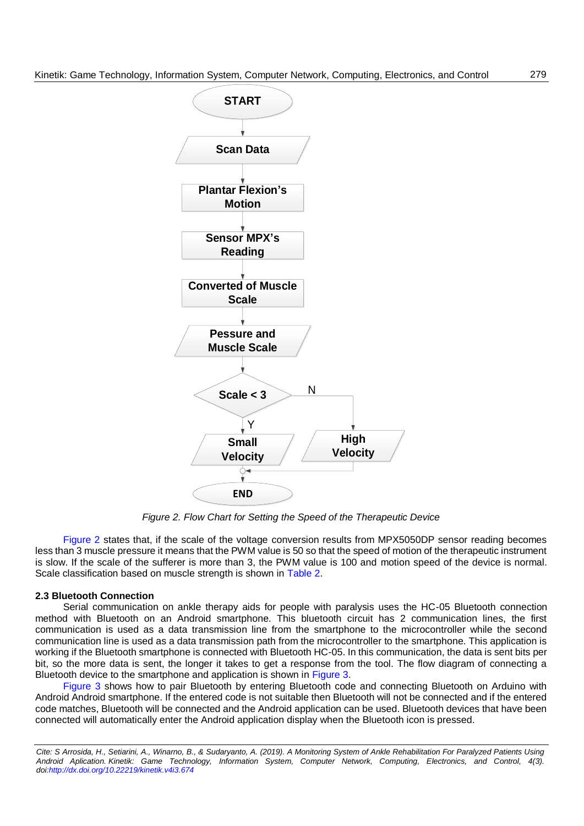

*Figure 2. Flow Chart for Setting the Speed of the Therapeutic Device*

<span id="page-2-0"></span>[Figure 2](#page-2-0) states that, if the scale of the voltage conversion results from MPX5050DP sensor reading becomes less than 3 muscle pressure it means that the PWM value is 50 so that the speed of motion of the therapeutic instrument is slow. If the scale of the sufferer is more than 3, the PWM value is 100 and motion speed of the device is normal. Scale classification based on muscle strength is shown in [Table 2.](#page-5-0)

#### **2.3 Bluetooth Connection**

Serial communication on ankle therapy aids for people with paralysis uses the HC-05 Bluetooth connection method with Bluetooth on an Android smartphone. This bluetooth circuit has 2 communication lines, the first communication is used as a data transmission line from the smartphone to the microcontroller while the second communication line is used as a data transmission path from the microcontroller to the smartphone. This application is working if the Bluetooth smartphone is connected with Bluetooth HC-05. In this communication, the data is sent bits per bit, so the more data is sent, the longer it takes to get a response from the tool. The flow diagram of connecting a Bluetooth device to the smartphone and application is shown in [Figure 3.](#page-3-0)

[Figure 3](#page-3-0) shows how to pair Bluetooth by entering Bluetooth code and connecting Bluetooth on Arduino with Android Android smartphone. If the entered code is not suitable then Bluetooth will not be connected and if the entered code matches, Bluetooth will be connected and the Android application can be used. Bluetooth devices that have been connected will automatically enter the Android application display when the Bluetooth icon is pressed.

*Cite: S Arrosida, H., Setiarini, A., Winarno, B., & Sudaryanto, A. (2019). A Monitoring System of Ankle Rehabilitation For Paralyzed Patients Using Android Aplication. Kinetik: Game Technology, Information System, Computer Network, Computing, Electronics, and Control, 4(3). doi[:http://dx.doi.org/10.22219/kinetik.v4i3.674](http://dx.doi.org/10.22219/kinetik.v4i3.674)*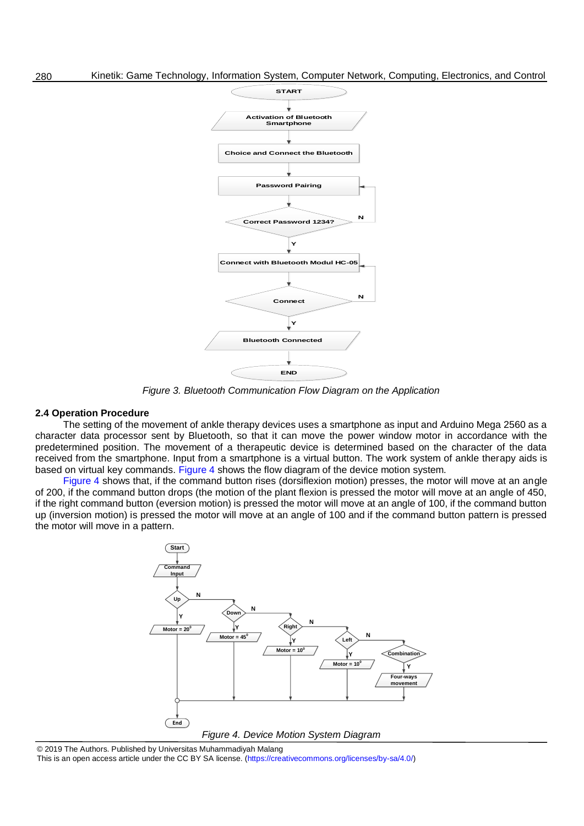

*Figure 3. Bluetooth Communication Flow Diagram on the Application*

#### <span id="page-3-0"></span>**2.4 Operation Procedure**

The setting of the movement of ankle therapy devices uses a smartphone as input and Arduino Mega 2560 as a character data processor sent by Bluetooth, so that it can move the power window motor in accordance with the predetermined position. The movement of a therapeutic device is determined based on the character of the data received from the smartphone. Input from a smartphone is a virtual button. The work system of ankle therapy aids is based on virtual key commands. [Figure 4](#page-3-1) shows the flow diagram of the device motion system.

[Figure 4](#page-3-1) shows that, if the command button rises (dorsiflexion motion) presses, the motor will move at an angle of 200, if the command button drops (the motion of the plant flexion is pressed the motor will move at an angle of 450, if the right command button (eversion motion) is pressed the motor will move at an angle of 100, if the command button up (inversion motion) is pressed the motor will move at an angle of 100 and if the command button pattern is pressed the motor will move in a pattern.



<span id="page-3-1"></span>© 2019 The Authors. Published by Universitas Muhammadiyah Malang This is an open access article under the CC BY SA license. [\(https://creativecommons.org/licenses/by-sa/4.0/\)](https://creativecommons.org/licenses/by-sa/4.0/)

280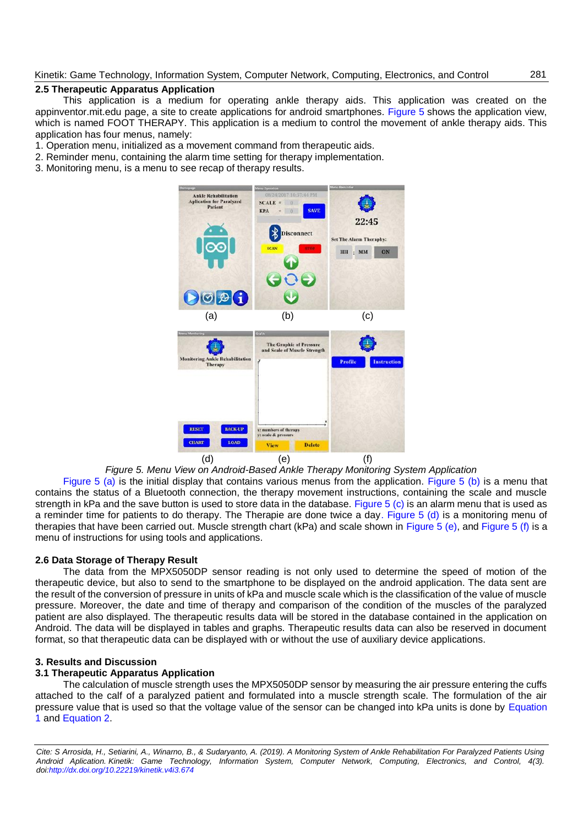# **2.5 Therapeutic Apparatus Application**

This application is a medium for operating ankle therapy aids. This application was created on the appinventor.mit.edu page, a site to create applications for android smartphones. [Figure 5](#page-4-0) shows the application view, which is named FOOT THERAPY. This application is a medium to control the movement of ankle therapy aids. This application has four menus, namely:

1. Operation menu, initialized as a movement command from therapeutic aids.

- 2. Reminder menu, containing the alarm time setting for therapy implementation.
- 3. Monitoring menu, is a menu to see recap of therapy results.

<span id="page-4-3"></span><span id="page-4-2"></span><span id="page-4-1"></span>

<span id="page-4-6"></span><span id="page-4-5"></span><span id="page-4-4"></span>*Figure 5. Menu View on Android-Based Ankle Therapy Monitoring System Application*

<span id="page-4-0"></span>[Figure 5 \(a\)](#page-4-1) is the initial display that contains various menus from the application. [Figure 5 \(b\)](#page-4-2) is a menu that contains the status of a Bluetooth connection, the therapy movement instructions, containing the scale and muscle strength in kPa and the save button is used to store data in the database. [Figure 5 \(c\)](#page-4-3) is an alarm menu that is used as a reminder time for patients to do therapy. The Therapie are done twice a da[y. Figure 5 \(d\)](#page-4-4) is a monitoring menu of therapies that have been carried out. Muscle strength chart (kPa) and scale shown in [Figure 5 \(e\),](#page-4-5) and [Figure 5 \(f\)](#page-4-6) is a menu of instructions for using tools and applications.

# **2.6 Data Storage of Therapy Result**

The data from the MPX5050DP sensor reading is not only used to determine the speed of motion of the therapeutic device, but also to send to the smartphone to be displayed on the android application. The data sent are the result of the conversion of pressure in units of kPa and muscle scale which is the classification of the value of muscle pressure. Moreover, the date and time of therapy and comparison of the condition of the muscles of the paralyzed patient are also displayed. The therapeutic results data will be stored in the database contained in the application on Android. The data will be displayed in tables and graphs. Therapeutic results data can also be reserved in document format, so that therapeutic data can be displayed with or without the use of auxiliary device applications.

# **3. Results and Discussion**

# **3.1 Therapeutic Apparatus Application**

The calculation of muscle strength uses the MPX5050DP sensor by measuring the air pressure entering the cuffs attached to the calf of a paralyzed patient and formulated into a muscle strength scale. The formulation of the air pressure value that is used so that the voltage value of the sensor can be changed into kPa units is done by [Equation](#page-5-1)  [1](#page-5-1) and [Equation 2.](#page-5-2)

*Cite: S Arrosida, H., Setiarini, A., Winarno, B., & Sudaryanto, A. (2019). A Monitoring System of Ankle Rehabilitation For Paralyzed Patients Using Android Aplication. Kinetik: Game Technology, Information System, Computer Network, Computing, Electronics, and Control, 4(3). doi[:http://dx.doi.org/10.22219/kinetik.v4i3.674](http://dx.doi.org/10.22219/kinetik.v4i3.674)*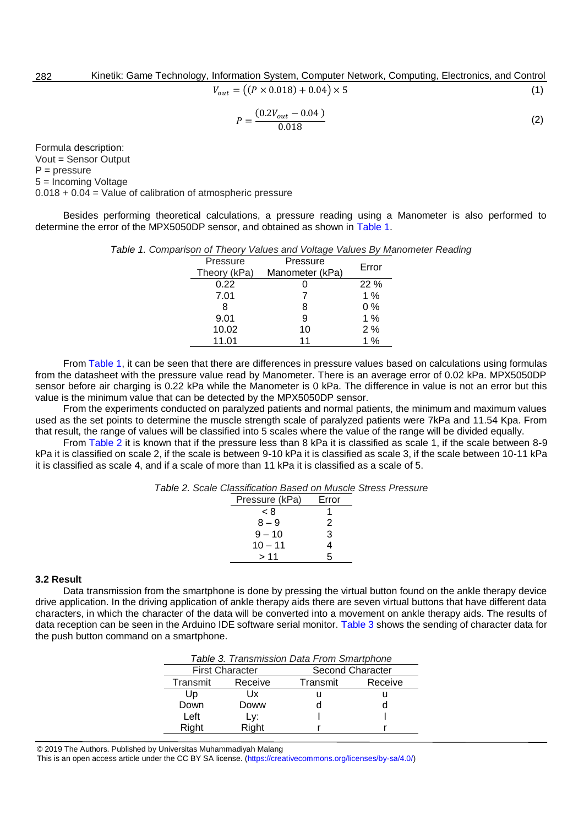$$
V_{out} = ((P \times 0.018) + 0.04) \times 5 \tag{1}
$$

$$
P = \frac{(0.2V_{out} - 0.04)}{0.018} \tag{2}
$$

<span id="page-5-2"></span>Formula description: Vout = Sensor Output  $P = pressure$ 5 = Incoming Voltage 0.018 + 0.04 = Value of calibration of atmospheric pressure

<span id="page-5-3"></span>Besides performing theoretical calculations, a pressure reading using a Manometer is also performed to determine the error of the MPX5050DP sensor, and obtained as shown in [Table 1.](#page-5-3)

|              | inson or Theory Values and Voltage Values by Ma |       |
|--------------|-------------------------------------------------|-------|
| Pressure     | Pressure                                        | Error |
| Theory (kPa) | Manometer (kPa)                                 |       |
| 0.22         |                                                 | 22 %  |
| 7.01         |                                                 | 1 $%$ |
| 8            | 8                                               | $0\%$ |
| 9.01         | 9                                               | 1%    |
| 10.02        | 10                                              | 2%    |
| 11.01        | 11                                              | 1%    |
|              |                                                 |       |

*Table 1. Comparison of Theory Values and Voltage Values By Manometer Reading*

From [Table 1,](#page-5-3) it can be seen that there are differences in pressure values based on calculations using formulas from the datasheet with the pressure value read by Manometer. There is an average error of 0.02 kPa. MPX5050DP sensor before air charging is 0.22 kPa while the Manometer is 0 kPa. The difference in value is not an error but this value is the minimum value that can be detected by the MPX5050DP sensor.

From the experiments conducted on paralyzed patients and normal patients, the minimum and maximum values used as the set points to determine the muscle strength scale of paralyzed patients were 7kPa and 11.54 Kpa. From that result, the range of values will be classified into 5 scales where the value of the range will be divided equally.

<span id="page-5-0"></span>From [Table 2](#page-5-0) it is known that if the pressure less than 8 kPa it is classified as scale 1, if the scale between 8-9 kPa it is classified on scale 2, if the scale is between 9-10 kPa it is classified as scale 3, if the scale between 10-11 kPa it is classified as scale 4, and if a scale of more than 11 kPa it is classified as a scale of 5.

| Table 2. Scale Classification Based on Muscle Stress Pressure |
|---------------------------------------------------------------|
|---------------------------------------------------------------|

| Pressure (kPa) | Error |
|----------------|-------|
| < 8            |       |
| $8 - 9$        | 2     |
| $9 - 10$       | 3     |
| $10 - 11$      | 4     |
| > 11           | г,    |

#### **3.2 Result**

<span id="page-5-4"></span>Data transmission from the smartphone is done by pressing the virtual button found on the ankle therapy device drive application. In the driving application of ankle therapy aids there are seven virtual buttons that have different data characters, in which the character of the data will be converted into a movement on ankle therapy aids. The results of data reception can be seen in the Arduino IDE software serial monitor. [Table 3](#page-5-4) shows the sending of character data for the push button command on a smartphone.

| Table 3. Transmission Data From Smartphone |       |                     |  |
|--------------------------------------------|-------|---------------------|--|
| <b>First Character</b>                     |       | Second Character    |  |
| Transmit<br>Receive                        |       | Transmit<br>Receive |  |
| Up                                         | Ux    |                     |  |
| Down                                       | Doww  |                     |  |
| Left                                       | Ly:   |                     |  |
| Right                                      | Right |                     |  |

© 2019 The Authors. Published by Universitas Muhammadiyah Malang

This is an open access article under the CC BY SA license. [\(https://creativecommons.org/licenses/by-sa/4.0/\)](https://creativecommons.org/licenses/by-sa/4.0/)

<span id="page-5-1"></span>282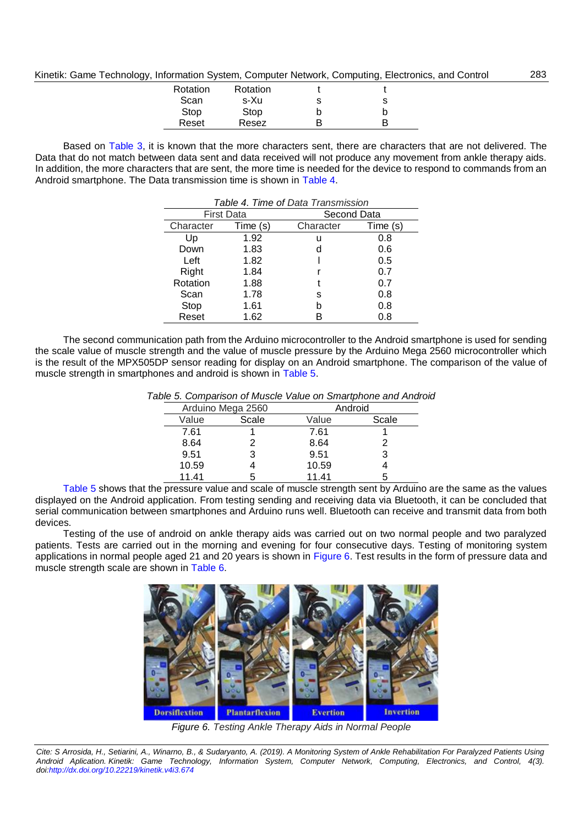| Kinetik: Game Technology, Information System, Computer Network, Computing, Electronics, and Control |
|-----------------------------------------------------------------------------------------------------|
|-----------------------------------------------------------------------------------------------------|

| Rotation | Rotation |   |  |
|----------|----------|---|--|
| Scan     | s-Xu     | s |  |
| Stop     | Stop     |   |  |
| Reset    | Resez    |   |  |

283

<span id="page-6-0"></span>Based on [Table 3,](#page-5-4) it is known that the more characters sent, there are characters that are not delivered. The Data that do not match between data sent and data received will not produce any movement from ankle therapy aids. In addition, the more characters that are sent, the more time is needed for the device to respond to commands from an Android smartphone. The Data transmission time is shown in [Table 4.](#page-6-0)

| Table 4. Time of Data Transmission |      |                       |     |
|------------------------------------|------|-----------------------|-----|
| <b>First Data</b>                  |      | Second Data           |     |
| Time (s)<br>Character              |      | Character<br>Time (s) |     |
| Up                                 | 1.92 | u                     | 0.8 |
| Down                               | 1.83 | d                     | 0.6 |
| Left                               | 1.82 |                       | 0.5 |
| Right                              | 1.84 |                       | 0.7 |
| Rotation                           | 1.88 |                       | 0.7 |
| Scan                               | 1.78 | s                     | 0.8 |
| Stop                               | 1.61 | h                     | 0.8 |
| Reset                              | 1.62 |                       | 0.8 |

<span id="page-6-1"></span>The second communication path from the Arduino microcontroller to the Android smartphone is used for sending the scale value of muscle strength and the value of muscle pressure by the Arduino Mega 2560 microcontroller which is the result of the MPX505DP sensor reading for display on an Android smartphone. The comparison of the value of muscle strength in smartphones and android is shown in [Table 5.](#page-6-1)

|                   |       |         | ivic o. Companson or masoic value on omarione and Andi |  |
|-------------------|-------|---------|--------------------------------------------------------|--|
| Arduino Mega 2560 |       | Android |                                                        |  |
| Value             | Scale | Value   | Scale                                                  |  |
| 7.61              |       | 7.61    |                                                        |  |
| 8.64              |       | 8.64    |                                                        |  |
| 9.51              |       | 9.51    | 3                                                      |  |
| 10.59             |       | 10.59   |                                                        |  |
| 11.41             |       | 11.41   | 5                                                      |  |

*Table 5. Comparison of Muscle Value on Smartphone and Android*

[Table 5](#page-6-1) shows that the pressure value and scale of muscle strength sent by Arduino are the same as the values displayed on the Android application. From testing sending and receiving data via Bluetooth, it can be concluded that serial communication between smartphones and Arduino runs well. Bluetooth can receive and transmit data from both devices.

Testing of the use of android on ankle therapy aids was carried out on two normal people and two paralyzed patients. Tests are carried out in the morning and evening for four consecutive days. Testing of monitoring system applications in normal people aged 21 and 20 years is shown in [Figure 6.](#page-6-2) Test results in the form of pressure data and muscle strength scale are shown in [Table 6.](#page-7-0)



*Figure 6. Testing Ankle Therapy Aids in Normal People*

<span id="page-6-2"></span>*Cite: S Arrosida, H., Setiarini, A., Winarno, B., & Sudaryanto, A. (2019). A Monitoring System of Ankle Rehabilitation For Paralyzed Patients Using Android Aplication. Kinetik: Game Technology, Information System, Computer Network, Computing, Electronics, and Control, 4(3). doi[:http://dx.doi.org/10.22219/kinetik.v4i3.674](http://dx.doi.org/10.22219/kinetik.v4i3.674)*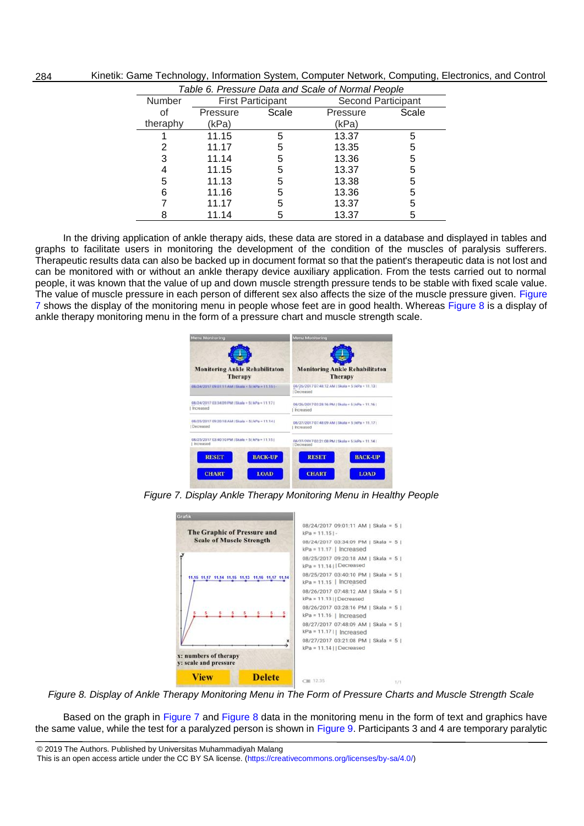| rapic o. r rossarc Data and Ocalc or Noman Feople |                          |       |                           |       |
|---------------------------------------------------|--------------------------|-------|---------------------------|-------|
| <b>Number</b>                                     | <b>First Participant</b> |       | <b>Second Participant</b> |       |
| οf                                                | Pressure                 | Scale | Pressure                  | Scale |
| theraphy                                          | (kPa)                    |       | (kPa)                     |       |
|                                                   | 11.15                    | 5     | 13.37                     | 5     |
| 2                                                 | 11.17                    | 5     | 13.35                     | 5     |
| 3                                                 | 11.14                    | 5     | 13.36                     | 5     |
| 4                                                 | 11.15                    | 5     | 13.37                     | 5     |
| 5                                                 | 11.13                    | 5     | 13.38                     | 5     |
| 6                                                 | 11.16                    | 5     | 13.36                     | 5     |
|                                                   | 11.17                    | 5     | 13.37                     | 5     |
|                                                   | 11.14                    | 5     | 13.37                     | 5     |

Kinetik: Game Technology, Information System, Computer Network, Computing, Electronics, and Control *Table 6. Pressure Data and Scale of Normal People* 

<span id="page-7-0"></span>284

In the driving application of ankle therapy aids, these data are stored in a database and displayed in tables and graphs to facilitate users in monitoring the development of the condition of the muscles of paralysis sufferers. Therapeutic results data can also be backed up in document format so that the patient's therapeutic data is not lost and can be monitored with or without an ankle therapy device auxiliary application. From the tests carried out to normal people, it was known that the value of up and down muscle strength pressure tends to be stable with fixed scale value. The value of muscle pressure in each person of different sex also affects the size of the muscle pressure given. [Figure](#page-7-1)  [7](#page-7-1) shows the display of the monitoring menu in people whose feet are in good health. Whereas [Figure 8](#page-7-2) is a display of ankle therapy monitoring menu in the form of a pressure chart and muscle strength scale.

| <b>Menu Monitoring</b>                            | <b>Menu Monitoring</b>                                         |  |  |
|---------------------------------------------------|----------------------------------------------------------------|--|--|
| <b>Monitoring Ankle Rehabilitaton</b>             | <b>Monitoring Ankle Rehabilitaton</b>                          |  |  |
| Therapy                                           | Therapy                                                        |  |  |
| 08/24/2017 09:01:11:AM : Skala × 5 (xPa × 11.151- | 08/26/2017 07:48:12 AM (Skala = 51kPa = 11.131)<br>I Decreased |  |  |
| 08/24/2017 03:34:09 PM   Skala = 5   kPa = 11.17  | 08/26/2017 03:28:16 PM   Skala < 5   kPa < 11.16               |  |  |
| Increased                                         | I Increased                                                    |  |  |
| 08/25/2017 09:20:18 AM ! Skala = 5   kPa = 11.14  | 08/27/2017 07:48:09 AM / Skala = 51kPa = 11.171                |  |  |
| Decreased                                         | Increased                                                      |  |  |
| 08/25/2017 03:40:10 PM   Skala = 5   kPa = 11.15  | 08/27/2017 03:21:08 PM   Skala = 5   kPa = 11.14               |  |  |
| Increased                                         | I Decreased                                                    |  |  |
| <b>BACK-UP</b>                                    | <b>BACK-UP</b>                                                 |  |  |
| <b>RESET</b>                                      | <b>RESET</b>                                                   |  |  |
| <b>CHART</b>                                      | <b>LOAD</b>                                                    |  |  |
| <b>LOAD</b>                                       | <b>CHART</b>                                                   |  |  |

<span id="page-7-1"></span>*Figure 7. Display Ankle Therapy Monitoring Menu in Healthy People*

| Grafik                                                 |               |                                                                   |  |
|--------------------------------------------------------|---------------|-------------------------------------------------------------------|--|
| The Graphic of Pressure and                            |               | 08/24/2017 09:01:11 AM   Skala = 5  <br>$kPa = 11.15$ .           |  |
| <b>Scale of Muscle Strength</b>                        |               | 08/24/2017 03:34:09 PM   Skala = 5  <br>$kPa = 11.17$   Increased |  |
|                                                        |               | 08/25/2017 09:20:18 AM   Skala = 5  <br>$kPa = 11.14$   Decreased |  |
| 11.15 11.17 11.14                                      |               | 08/25/2017 03:40:10 PM   Skala = 5  <br>$kPa = 11.15$   Increased |  |
|                                                        |               | 08/26/2017 07:48:12 AM   Skala = 5  <br>$kPa = 11.13$   Decreased |  |
|                                                        |               | 08/26/2017 03:28:16 PM   Skala = 5  <br>$kPa = 11.16$   Increased |  |
|                                                        |               | 08/27/2017 07:48:09 AM   Skala = 5  <br>$kPa = 11.17$   Increased |  |
|                                                        |               | 08/27/2017 03:21:08 PM   Skala = 5  <br>$kPa = 11.14$   Decreased |  |
| x: numbers of therapy<br><b>y</b> : scale and pressure |               |                                                                   |  |
| View                                                   | <b>Delete</b> | CW 12.35<br>7/7                                                   |  |

<span id="page-7-2"></span>*Figure 8. Display of Ankle Therapy Monitoring Menu in The Form of Pressure Charts and Muscle Strength Scale*

Based on the graph in [Figure 7](#page-7-1) and [Figure 8](#page-7-2) data in the monitoring menu in the form of text and graphics have the same value, while the test for a paralyzed person is shown in [Figure 9.](#page-8-0) Participants 3 and 4 are temporary paralytic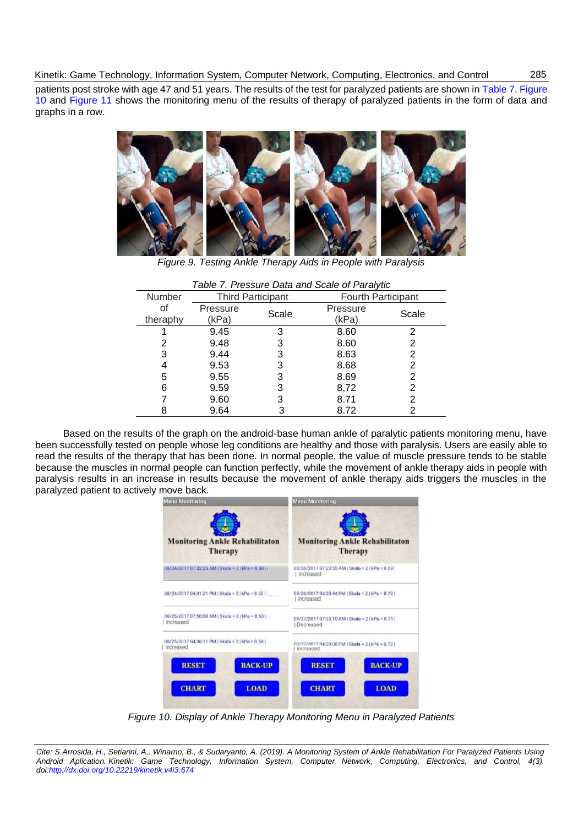patients post stroke with age 47 and 51 years. The results of the test for paralyzed patients are shown i[n Table 7.](#page-8-1) [Figure](#page-8-2)  [10](#page-8-2) and [Figure 11](#page-9-10) shows the monitoring menu of the results of therapy of paralyzed patients in the form of data and graphs in a row.



*Figure 9. Testing Ankle Therapy Aids in People with Paralysis*

<span id="page-8-1"></span><span id="page-8-0"></span>

| Table 1. Fiessure Data and Scale of Faralytic |                          |       |                           |       |
|-----------------------------------------------|--------------------------|-------|---------------------------|-------|
| <b>Number</b>                                 | <b>Third Participant</b> |       | <b>Fourth Participant</b> |       |
| οf                                            | Pressure                 | Scale | Pressure                  | Scale |
| theraphy                                      | (kPa)                    |       | (kPa)                     |       |
|                                               | 9.45                     | 3     | 8.60                      | 2     |
| 2                                             | 9.48                     | 3     | 8.60                      | 2     |
| 3                                             | 9.44                     | 3     | 8.63                      | 2     |
|                                               | 9.53                     | 3     | 8.68                      |       |
| 5                                             | 9.55                     | 3     | 8.69                      | 2     |
| 6                                             | 9.59                     | 3     | 8,72                      | 2     |
|                                               | 9.60                     | 3     | 8.71                      | 2     |
|                                               | 9.64                     |       | 8.72                      |       |

|--|

Based on the results of the graph on the android-base human ankle of paralytic patients monitoring menu, have been successfully tested on people whose leg conditions are healthy and those with paralysis. Users are easily able to read the results of the therapy that has been done. In normal people, the value of muscle pressure tends to be stable because the muscles in normal people can function perfectly, while the movement of ankle therapy aids in people with paralysis results in an increase in results because the movement of ankle therapy aids triggers the muscles in the paralyzed patient to actively move back.



*Figure 10. Display of Ankle Therapy Monitoring Menu in Paralyzed Patients*

<span id="page-8-2"></span>*Cite: S Arrosida, H., Setiarini, A., Winarno, B., & Sudaryanto, A. (2019). A Monitoring System of Ankle Rehabilitation For Paralyzed Patients Using Android Aplication. Kinetik: Game Technology, Information System, Computer Network, Computing, Electronics, and Control, 4(3). doi[:http://dx.doi.org/10.22219/kinetik.v4i3.674](http://dx.doi.org/10.22219/kinetik.v4i3.674)*